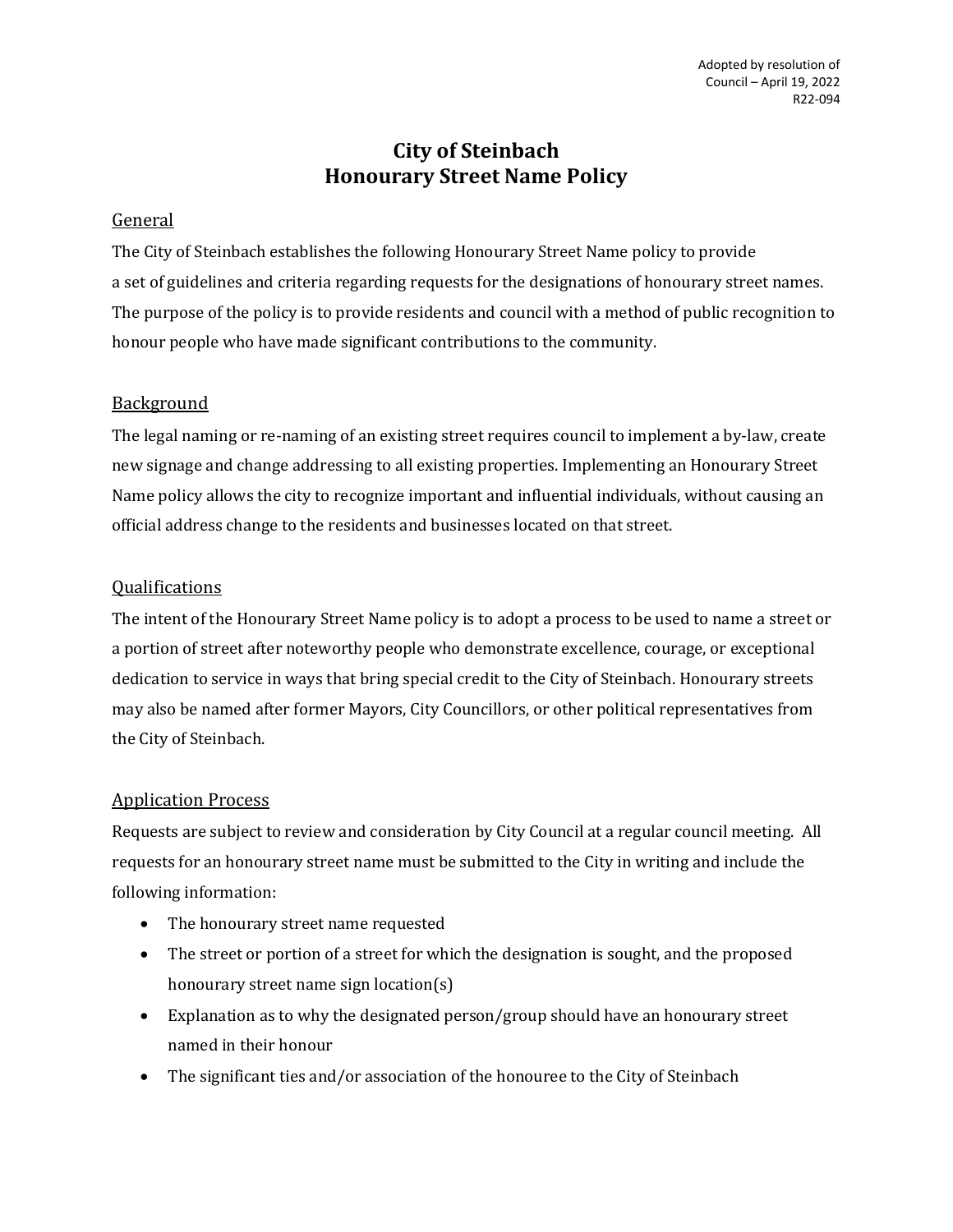# **City of Steinbach Honourary Street Name Policy**

# General

The City of Steinbach establishes the following Honourary Street Name policy to provide a set of guidelines and criteria regarding requests for the designations of honourary street names. The purpose of the policy is to provide residents and council with a method of public recognition to honour people who have made significant contributions to the community.

# Background

The legal naming or re-naming of an existing street requires council to implement a by-law, create new signage and change addressing to all existing properties. Implementing an Honourary Street Name policy allows the city to recognize important and influential individuals, without causing an official address change to the residents and businesses located on that street.

### **Qualifications**

The intent of the Honourary Street Name policy is to adopt a process to be used to name a street or a portion of street after noteworthy people who demonstrate excellence, courage, or exceptional dedication to service in ways that bring special credit to the City of Steinbach. Honourary streets may also be named after former Mayors, City Councillors, or other political representatives from the City of Steinbach.

### Application Process

Requests are subject to review and consideration by City Council at a regular council meeting. All requests for an honourary street name must be submitted to the City in writing and include the following information:

- The honourary street name requested
- The street or portion of a street for which the designation is sought, and the proposed honourary street name sign location(s)
- Explanation as to why the designated person/group should have an honourary street named in their honour
- The significant ties and/or association of the honouree to the City of Steinbach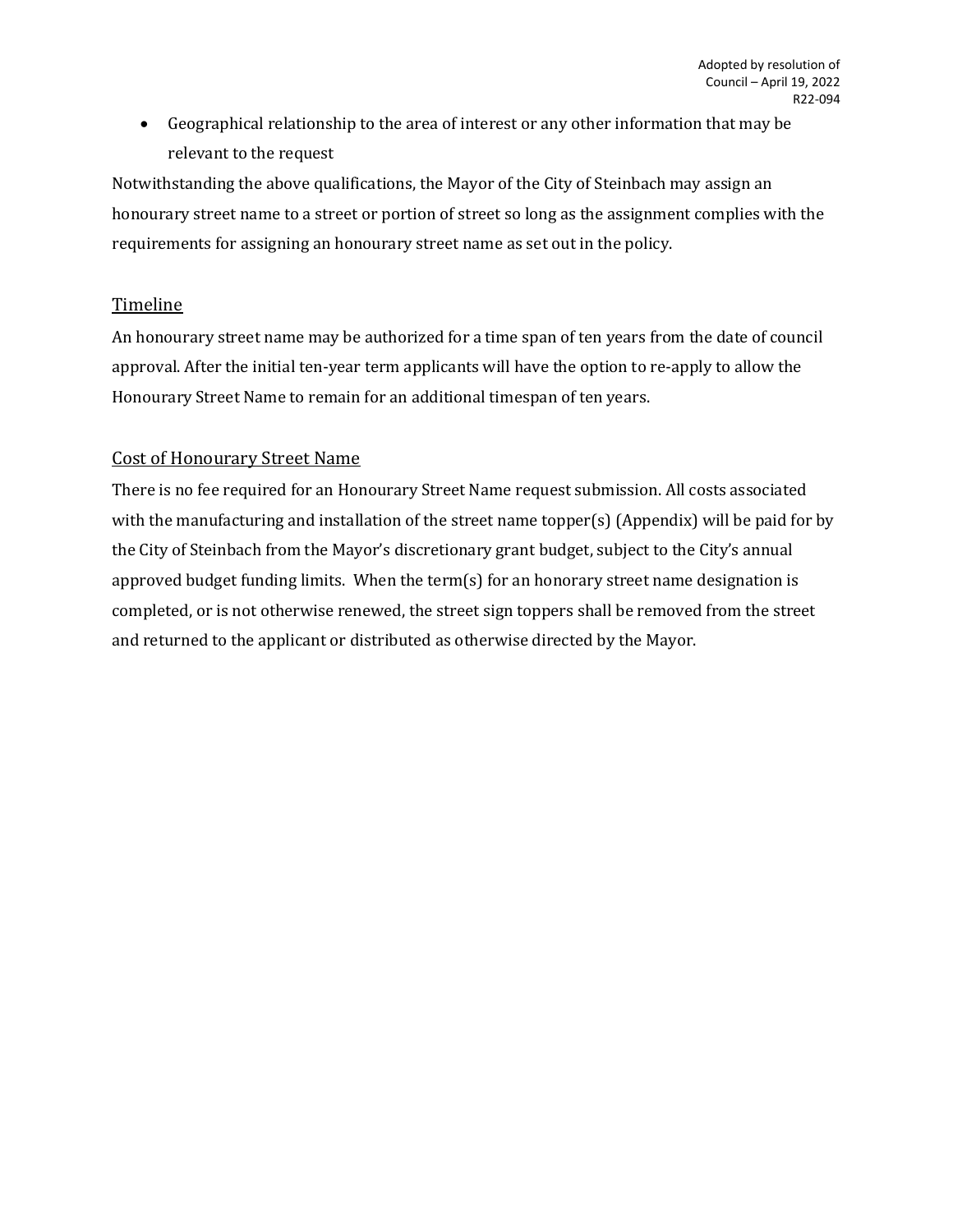• Geographical relationship to the area of interest or any other information that may be relevant to the request

Notwithstanding the above qualifications, the Mayor of the City of Steinbach may assign an honourary street name to a street or portion of street so long as the assignment complies with the requirements for assigning an honourary street name as set out in the policy.

### **Timeline**

An honourary street name may be authorized for a time span of ten years from the date of council approval. After the initial ten-year term applicants will have the option to re-apply to allow the Honourary Street Name to remain for an additional timespan of ten years.

### Cost of Honourary Street Name

There is no fee required for an Honourary Street Name request submission. All costs associated with the manufacturing and installation of the street name topper(s) (Appendix) will be paid for by the City of Steinbach from the Mayor's discretionary grant budget, subject to the City's annual approved budget funding limits. When the term(s) for an honorary street name designation is completed, or is not otherwise renewed, the street sign toppers shall be removed from the street and returned to the applicant or distributed as otherwise directed by the Mayor.